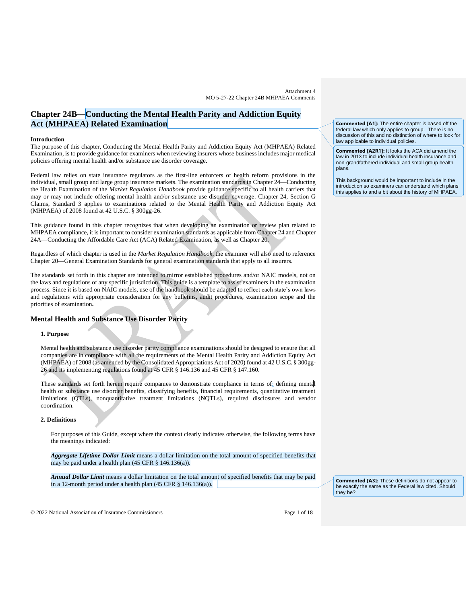# **Chapter 24B**⎯**Conducting the Mental Health Parity and Addiction Equity Act (MHPAEA) Related Examination**

### **Introduction**

The purpose of this chapter, Conducting the Mental Health Parity and Addiction Equity Act (MHPAEA) Related Examination, is to provide guidance for examiners when reviewing insurers whose business includes major medical policies offering mental health and/or substance use disorder coverage.

Federal law relies on state insurance regulators as the first-line enforcers of health reform provisions in the individual, small group and large group insurance markets. The examination standards in Chapter 24—Conducting the Health Examination of the *Market Regulation Handbook* provide guidance specific to all health carriers that may or may not include offering mental health and/or substance use disorder coverage. Chapter 24, Section G Claims, Standard 3 applies to examinations related to the Mental Health Parity and Addiction Equity Act (MHPAEA) of 2008 found at 42 U.S.C. § 300gg-26.

This guidance found in this chapter recognizes that when developing an examination or review plan related to MHPAEA compliance, it is important to consider examination standards as applicable from Chapter 24 and Chapter 24A—Conducting the Affordable Care Act (ACA) Related Examination, as well as Chapter 20.

Regardless of which chapter is used in the *Market Regulation Handbook,* the examiner will also need to reference Chapter 20—General Examination Standards for general examination standards that apply to all insurers.

The standards set forth in this chapter are intended to mirror established procedures and/or NAIC models, not on the laws and regulations of any specific jurisdiction. This guide is a template to assist examiners in the examination process. Since it is based on NAIC models, use of the handbook should be adapted to reflect each state's own laws and regulations with appropriate consideration for any bulletins, audit procedures, examination scope and the priorities of examination**.**

# **Mental Health and Substance Use Disorder Parity**

#### **1. Purpose**

Mental health and substance use disorder parity compliance examinations should be designed to ensure that all companies are in compliance with all the requirements of the Mental Health Parity and Addiction Equity Act (MHPAEA) of 2008 (as amended by the Consolidated Appropriations Act of 2020) found at 42 U.S.C. § 300gg-26 and its implementing regulations found at 45 CFR § 146.136 and 45 CFR § 147.160.

These standards set forth herein require companies to demonstrate compliance in terms of: defining mental health or substance use disorder benefits, classifying benefits, financial requirements, quantitative treatment limitations (QTLs), nonquantitative treatment limitations (NQTLs), required disclosures and vendor coordination.

## **2. Definitions**

For purposes of this Guide, except where the context clearly indicates otherwise, the following terms have the meanings indicated:

*Aggregate Lifetime Dollar Limit* means a dollar limitation on the total amount of specified benefits that may be paid under a health [plan](https://www.law.cornell.edu/definitions/index.php?width=840&height=800&iframe=true&def_id=2b74e43866fc5b8f1f15155c434c7c1d&term_occur=1&term_src=Title:45:Chapter:A:Subchapter:B:Part:146:Subpart:C:146.136) (45 CFR § 146.136(a)).

*Annual Dollar Limit* means a dollar limitation on the total amount of specified benefits that may be paid in a 12-month period under a health [plan](https://www.law.cornell.edu/definitions/index.php?width=840&height=800&iframe=true&def_id=2b74e43866fc5b8f1f15155c434c7c1d&term_occur=2&term_src=Title:45:Chapter:A:Subchapter:B:Part:146:Subpart:C:146.136) (45 CFR § 146.136(a)).

**Commented [A3]:** These definitions do not appear to be exactly the same as the Federal law cited. Should they be?

© 2022 National Association of Insurance Commissioners Page 1 of 18

**Commented [A1]:** The entire chapter is based off the federal law which only applies to group. There is no discussion of this and no distinction of where to look for law applicable to individual policies.

**Commented [A2R1]:** It looks the ACA did amend the law in 2013 to include individual health insurance and non-grandfathered individual and small group health plans

This background would be important to include in the introduction so examiners can understand which plans this applies to and a bit about the history of MHPAEA.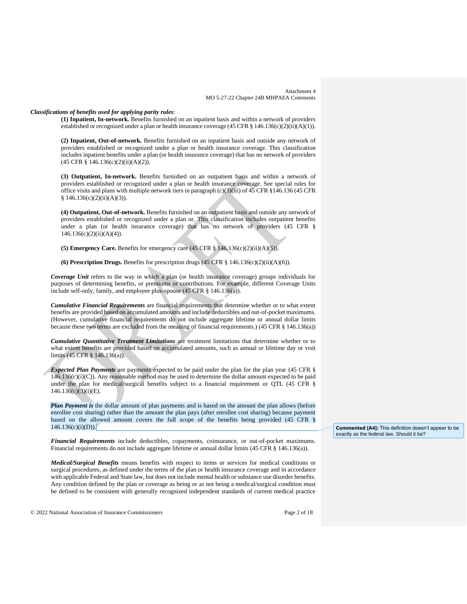### *Classifications of benefits used for applying parity rules*:

**(1) Inpatient, In-network.** Benefits furnished on an inpatient basis and within a network of providers established or recognized under [a plan](https://www.law.cornell.edu/definitions/index.php?width=840&height=800&iframe=true&def_id=2b74e43866fc5b8f1f15155c434c7c1d&term_occur=28&term_src=Title:45:Chapter:A:Subchapter:B:Part:146:Subpart:C:146.136) o[r health insurance coverage](https://www.law.cornell.edu/definitions/index.php?width=840&height=800&iframe=true&def_id=8cb1da61fe4207bff7613d72e6094944&term_occur=8&term_src=Title:45:Chapter:A:Subchapter:B:Part:146:Subpart:C:146.136) (45 CFR § 146.136(c)(2)(ii)(A)(1)).

**(2) Inpatient, Out-of-network.** Benefits furnished on an inpatient basis and outside any network of providers established or recognized under a [plan](https://www.law.cornell.edu/definitions/index.php?width=840&height=800&iframe=true&def_id=2b74e43866fc5b8f1f15155c434c7c1d&term_occur=30&term_src=Title:45:Chapter:A:Subchapter:B:Part:146:Subpart:C:146.136) or [health insurance coverage.](https://www.law.cornell.edu/definitions/index.php?width=840&height=800&iframe=true&def_id=8cb1da61fe4207bff7613d72e6094944&term_occur=9&term_src=Title:45:Chapter:A:Subchapter:B:Part:146:Subpart:C:146.136) This classification includes inpatient benefits under a [plan](https://www.law.cornell.edu/definitions/index.php?width=840&height=800&iframe=true&def_id=2b74e43866fc5b8f1f15155c434c7c1d&term_occur=31&term_src=Title:45:Chapter:A:Subchapter:B:Part:146:Subpart:C:146.136) (or health insurance coverage) that has no network of providers (45 CFR § 146.136(c)(2)(ii)(A)(2)).

**(3) Outpatient, In-network.** Benefits furnished on an outpatient basis and within a network of providers established or recognized under a [plan](https://www.law.cornell.edu/definitions/index.php?width=840&height=800&iframe=true&def_id=2b74e43866fc5b8f1f15155c434c7c1d&term_occur=32&term_src=Title:45:Chapter:A:Subchapter:B:Part:146:Subpart:C:146.136) or [health insurance coverage.](https://www.law.cornell.edu/definitions/index.php?width=840&height=800&iframe=true&def_id=8cb1da61fe4207bff7613d72e6094944&term_occur=10&term_src=Title:45:Chapter:A:Subchapter:B:Part:146:Subpart:C:146.136) See special rules for office visits and [plans](https://www.law.cornell.edu/definitions/index.php?width=840&height=800&iframe=true&def_id=2b74e43866fc5b8f1f15155c434c7c1d&term_occur=33&term_src=Title:45:Chapter:A:Subchapter:B:Part:146:Subpart:C:146.136) with multiple network tiers in paragraph  $(c)(3)(iii)$  of 45 CFR §146.136 (45 CFR  $§ 146.136(c)(2)(ii)(A)(3)).$ 

**(4) Outpatient, Out-of-network.** Benefits furnished on an outpatient basis and outside any network of providers established or recognized under a [plan](https://www.law.cornell.edu/definitions/index.php?width=840&height=800&iframe=true&def_id=2b74e43866fc5b8f1f15155c434c7c1d&term_occur=34&term_src=Title:45:Chapter:A:Subchapter:B:Part:146:Subpart:C:146.136) or. This classification includes outpatient benefits under a [plan](https://www.law.cornell.edu/definitions/index.php?width=840&height=800&iframe=true&def_id=2b74e43866fc5b8f1f15155c434c7c1d&term_occur=35&term_src=Title:45:Chapter:A:Subchapter:B:Part:146:Subpart:C:146.136) (or health insurance coverage) that has no network of providers (45 CFR §  $146.136(c)(2)(ii)(A)(4)$ ).

**(5) Emergency Care.** Benefits for emergency care  $(45 \text{ CFR } \frac{8}{3} 146.136(c)(2)(ii)(A)(5))$ .

**(6) Prescription Drugs.** Benefits for prescription drugs (45 CFR § 146.136(c)(2)(ii)(A)(6)).

*Coverage Unit* refers to the way in which a plan (or health insurance coverage) groups individuals for purposes of determining benefits, or premiums or contributions. For example, different Coverage Units include self-only, family, and employee plus-spouse (45 CFR § 146.136(a)).

*Cumulative Financial Requirements* are financial requirements that determine whether or to what extent benefits are provided based on accumulated amounts and include deductibles and out-of-pocket maximums. (However, cumulative financial requirements do not include aggregate lifetime or [annual dollar limits](https://www.law.cornell.edu/definitions/index.php?width=840&height=800&iframe=true&def_id=7f56875d11485b39c0a27cff3b1ab77e&term_occur=1&term_src=Title:45:Chapter:A:Subchapter:B:Part:146:Subpart:C:146.136) because these two terms are excluded from the meaning of financial requirements.) (45 CFR § 146.136(a))

*Cumulative Quantitative Treatment Limitations* are treatment limitations that determine whether or to what extent benefits are provided based on accumulated amounts, such as annual or lifetime day or visit limits (45 CFR § 146.136(a)).

*Expected Plan Payments* are payments expected to be paid under the plan for the plan year (45 CFR §  $146.136(c)(i)(C)$ ). Any reasonable method may be used to determine the dollar amount expected to be paid under the plan for medical/surgical benefits subject to a financial requirement or QTL (45 CFR §  $146.136(c)(3)(i)(E)$ .

*Plan Payment is* the dollar amount of plan payments and is based on the amount the plan allows (before enrollee cost sharing) rather than the amount the plan pays (after enrollee cost sharing) because payment based on the allowed amount covers the full scope of the benefits being provided (45 CFR §  $146.136(c)(i)(D)).$ 

*Financial Requirements* include deductibles, copayments, coinsurance, or out-of-pocket maximums. Financial requirements do not include aggregate lifetime or annual dollar limits (45 CFR § 146.136(a)).

*Medical/Surgical Benefits* means benefits with respect to items or services for [medical conditions](https://www.law.cornell.edu/definitions/index.php?width=840&height=800&iframe=true&def_id=d31d497f23c5f210f7b1a5c6b3e26d64&term_occur=1&term_src=Title:45:Chapter:A:Subchapter:B:Part:146:Subpart:C:146.136) or surgical procedures, as defined under the terms of the [plan](https://www.law.cornell.edu/definitions/index.php?width=840&height=800&iframe=true&def_id=2b74e43866fc5b8f1f15155c434c7c1d&term_occur=3&term_src=Title:45:Chapter:A:Subchapter:B:Part:146:Subpart:C:146.136) or [health insurance coverage](https://www.law.cornell.edu/definitions/index.php?width=840&height=800&iframe=true&def_id=8cb1da61fe4207bff7613d72e6094944&term_occur=3&term_src=Title:45:Chapter:A:Subchapter:B:Part:146:Subpart:C:146.136) and in accordance with applicable Federal an[d State](https://www.law.cornell.edu/definitions/index.php?width=840&height=800&iframe=true&def_id=8d9629d585bd46c22375f1e87dfcd90e&term_occur=1&term_src=Title:45:Chapter:A:Subchapter:B:Part:146:Subpart:C:146.136) law, but does not include mental health o[r substance use disorder benefits.](https://www.law.cornell.edu/definitions/index.php?width=840&height=800&iframe=true&def_id=4119d6e3dfc71dd333ba29850086a9d5&term_occur=2&term_src=Title:45:Chapter:A:Subchapter:B:Part:146:Subpart:C:146.136)  Any [condition](https://www.law.cornell.edu/definitions/index.php?width=840&height=800&iframe=true&def_id=7534aa4414c62d31b280cea73618c915&term_occur=1&term_src=Title:45:Chapter:A:Subchapter:B:Part:146:Subpart:C:146.136) defined by the [plan](https://www.law.cornell.edu/definitions/index.php?width=840&height=800&iframe=true&def_id=2b74e43866fc5b8f1f15155c434c7c1d&term_occur=4&term_src=Title:45:Chapter:A:Subchapter:B:Part:146:Subpart:C:146.136) or coverage as being or as not being a medical/surgical [condition](https://www.law.cornell.edu/definitions/index.php?width=840&height=800&iframe=true&def_id=7534aa4414c62d31b280cea73618c915&term_occur=2&term_src=Title:45:Chapter:A:Subchapter:B:Part:146:Subpart:C:146.136) must be defined to be consistent with generally recognized independent standards of current medical practice

© 2022 National Association of Insurance Commissioners Page 2 of 18

**Commented [A4]:** This definition doesn't appear to be exactly as the federal law. Should it be?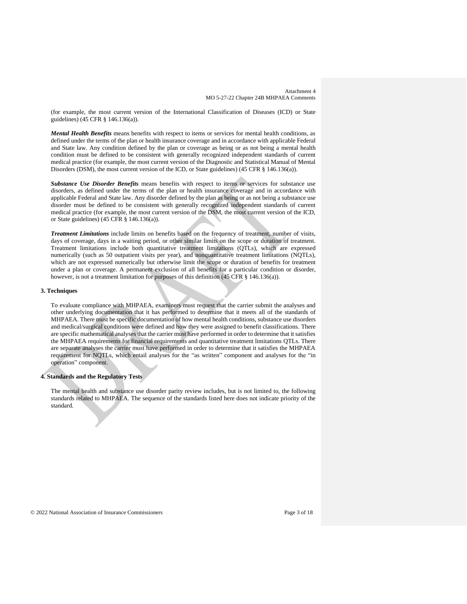(for example, the most current version of the International Classification of Diseases (ICD) or [State](https://www.law.cornell.edu/definitions/index.php?width=840&height=800&iframe=true&def_id=8d9629d585bd46c22375f1e87dfcd90e&term_occur=2&term_src=Title:45:Chapter:A:Subchapter:B:Part:146:Subpart:C:146.136) guidelines) (45 CFR § 146.136(a)).

*Mental Health Benefits* means benefits with respect to items or services for mental health conditions, as defined under the terms of the [plan](https://www.law.cornell.edu/definitions/index.php?width=840&height=800&iframe=true&def_id=2b74e43866fc5b8f1f15155c434c7c1d&term_occur=5&term_src=Title:45:Chapter:A:Subchapter:B:Part:146:Subpart:C:146.136) or [health insurance coverage](https://www.law.cornell.edu/definitions/index.php?width=840&height=800&iframe=true&def_id=8cb1da61fe4207bff7613d72e6094944&term_occur=4&term_src=Title:45:Chapter:A:Subchapter:B:Part:146:Subpart:C:146.136) and in accordance with applicable Federal and [State](https://www.law.cornell.edu/definitions/index.php?width=840&height=800&iframe=true&def_id=8d9629d585bd46c22375f1e87dfcd90e&term_occur=3&term_src=Title:45:Chapter:A:Subchapter:B:Part:146:Subpart:C:146.136) law. Any [condition](https://www.law.cornell.edu/definitions/index.php?width=840&height=800&iframe=true&def_id=7534aa4414c62d31b280cea73618c915&term_occur=3&term_src=Title:45:Chapter:A:Subchapter:B:Part:146:Subpart:C:146.136) defined by the [plan](https://www.law.cornell.edu/definitions/index.php?width=840&height=800&iframe=true&def_id=2b74e43866fc5b8f1f15155c434c7c1d&term_occur=6&term_src=Title:45:Chapter:A:Subchapter:B:Part:146:Subpart:C:146.136) or coverage as being or as not being a mental health [condition](https://www.law.cornell.edu/definitions/index.php?width=840&height=800&iframe=true&def_id=7534aa4414c62d31b280cea73618c915&term_occur=4&term_src=Title:45:Chapter:A:Subchapter:B:Part:146:Subpart:C:146.136) must be defined to be consistent with generally recognized independent standards of current medical practice (for example, the most current version of the Diagnostic and Statistical Manual of Mental Disorders (DSM), the most current version of the ICD, or [State](https://www.law.cornell.edu/definitions/index.php?width=840&height=800&iframe=true&def_id=8d9629d585bd46c22375f1e87dfcd90e&term_occur=4&term_src=Title:45:Chapter:A:Subchapter:B:Part:146:Subpart:C:146.136) guidelines) (45 CFR § 146.136(a)).

*Substance Use Disorder Benefits* means benefits with respect to items or services for substance use disorders, as defined under the terms of the [plan](https://www.law.cornell.edu/definitions/index.php?width=840&height=800&iframe=true&def_id=2b74e43866fc5b8f1f15155c434c7c1d&term_occur=7&term_src=Title:45:Chapter:A:Subchapter:B:Part:146:Subpart:C:146.136) or [health insurance coverage](https://www.law.cornell.edu/definitions/index.php?width=840&height=800&iframe=true&def_id=8cb1da61fe4207bff7613d72e6094944&term_occur=5&term_src=Title:45:Chapter:A:Subchapter:B:Part:146:Subpart:C:146.136) and in accordance with applicable Federal and [State](https://www.law.cornell.edu/definitions/index.php?width=840&height=800&iframe=true&def_id=8d9629d585bd46c22375f1e87dfcd90e&term_occur=5&term_src=Title:45:Chapter:A:Subchapter:B:Part:146:Subpart:C:146.136) law. Any disorder defined by the [plan](https://www.law.cornell.edu/definitions/index.php?width=840&height=800&iframe=true&def_id=2b74e43866fc5b8f1f15155c434c7c1d&term_occur=8&term_src=Title:45:Chapter:A:Subchapter:B:Part:146:Subpart:C:146.136) as being or as not being a substance use disorder must be defined to be consistent with generally recognized independent standards of current medical practice (for example, the most current version of the DSM, the most current version of the ICD, or [State](https://www.law.cornell.edu/definitions/index.php?width=840&height=800&iframe=true&def_id=8d9629d585bd46c22375f1e87dfcd90e&term_occur=6&term_src=Title:45:Chapter:A:Subchapter:B:Part:146:Subpart:C:146.136) guidelines) (45 CFR § 146.136(a)).

*Treatment Limitations* include limits on benefits based on the frequency of treatment, number of visits, days of coverage, days in a waiting period, or other similar limits on the scope or duration of treatment. Treatment limitations include both quantitative treatment limitations (QTLs), which are expressed numerically (such as 50 outpatient visits per year), and nonquantitative treatment limitations (NQTLs), which are not expressed numerically but otherwise limit the scope or duration of benefits for treatment under a [plan](https://www.law.cornell.edu/definitions/index.php?width=840&height=800&iframe=true&def_id=2b74e43866fc5b8f1f15155c434c7c1d&term_occur=9&term_src=Title:45:Chapter:A:Subchapter:B:Part:146:Subpart:C:146.136) or coverage. A permanent exclusion of all benefits for a particular [condition](https://www.law.cornell.edu/definitions/index.php?width=840&height=800&iframe=true&def_id=7534aa4414c62d31b280cea73618c915&term_occur=5&term_src=Title:45:Chapter:A:Subchapter:B:Part:146:Subpart:C:146.136) or disorder, however, is not a treatment limitation for purposes of this definition (45 CFR § 146.136(a)).

#### **3. Techniques**

To evaluate compliance with MHPAEA, examiners must request that the carrier submit the analyses and other underlying documentation that it has performed to determine that it meets all of the standards of MHPAEA. There must be specific documentation of how mental health conditions, substance use disorders and medical/surgical conditions were defined and how they were assigned to benefit classifications. There are specific mathematical analyses that the carrier must have performed in order to determine that it satisfies the MHPAEA requirements for financial requirements and quantitative treatment limitations QTLs. There are separate analyses the carrier must have performed in order to determine that it satisfies the MHPAEA requirement for NQTLs, which entail analyses for the "as written" component and analyses for the "in operation" component.

## **4. Standards and the Regulatory Tests**

The mental health and substance use disorder parity review includes, but is not limited to, the following standards related to MHPAEA. The sequence of the standards listed here does not indicate priority of the standard.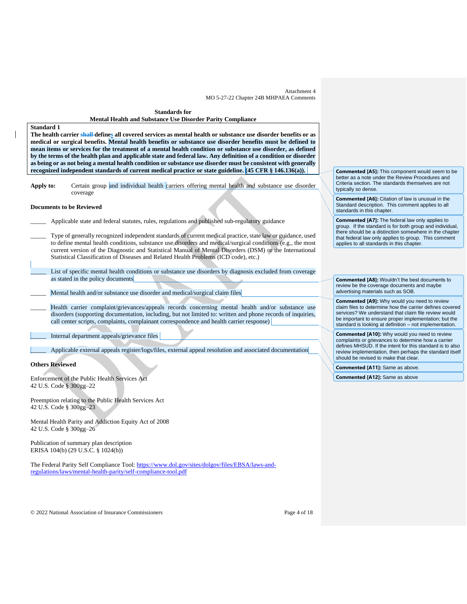# **Standards for Mental Health and Substance Use Disorder Parity Compliance Standard 1 The health carrier shall defines all covered services as mental health or substance use disorder benefits or as medical or surgical benefits. Mental health benefits or substance use disorder benefits must be defined to mean items or services for the treatment of a mental health condition or substance use disorder, as defined by the terms of the health plan and applicable state and federal law. Any definition of a condition or disorder as being or as not being a mental health condition or substance use disorder must be consistent with generally recognized independent standards of current medical practice or state guideline. (45 CFR § 146.136(a)).**  Apply to: Certain group and individual health carriers offering mental health and substance use disorder coverage **Documents to be Reviewed** Applicable state and federal statutes, rules, regulations and published sub-regulatory guidance Type of generally recognized independent standards of current medical practice, state law or guidance, used to define mental health conditions, substance use disorders and medical/surgical conditions (e.g., the most current version of the Diagnostic and Statistical Manual of Mental Disorders (DSM) or the International Statistical Classification of Diseases and Related Health Problems (ICD code), etc.) List of specific mental health conditions or substance use disorders by diagnosis excluded from coverage as stated in the policy documents Mental health and/or substance use disorder and medical/surgical claim files Health carrier complaint/grievances/appeals records concerning mental health and/or substance use disorders (supporting documentation, including, but not limited to: written and phone records of inquiries, call center scripts, complaints, complainant correspondence and health carrier response) Internal department appeals/grievance files \_\_\_\_\_ Applicable external appeals register/logs/files, external appeal resolution and associated documentation **Others Reviewed** Enforcement of the Public Health Services Act 42 U.S. Code § 300gg–22 Preemption relating to the Public Health Services Act 42 U.S. Code § 300gg–23 Mental Health Parity and Addiction Equity Act of 2008 42 U.S. Code § 300gg–26 typically so dense.

Publication of summary plan description ERISA 104(b) (29 U.S.C. § 1024(b))

The Federal Parity Self Compliance Tool: [https://www.dol.gov/sites/dolgov/files/EBSA/laws-and](https://www.dol.gov/sites/dolgov/files/EBSA/laws-and-regulations/laws/mental-health-parity/self-compliance-tool.pdf)[regulations/laws/mental-health-parity/self-compliance-tool.pdf](https://www.dol.gov/sites/dolgov/files/EBSA/laws-and-regulations/laws/mental-health-parity/self-compliance-tool.pdf)

**Commented [A5]:** This component would seem to be better as a note under the Review Procedures and Criteria section. The standards themselves are not

**Commented [A6]:** Citation of law is unusual in the Standard description. This comment applies to all standards in this chapter.

**Commented [A7]:** The federal law only applies to group. If the standard is for both group and individual, there should be a distinction somewhere in the chapter that federal law only applies to group. This comment applies to all standards in this chapter.

**Commented [A8]:** Wouldn't the best documents to review be the coverage documents and maybe advertising materials such as SOB.

**Commented [A9]:** Why would you need to review claim files to determine how the carrier defines covered services? We understand that claim file review would be important to ensure proper implementation; but the standard is looking at definition – not implementation.

**Commented [A10]:** Why would you need to review complaints or grievances to determine how a carrier defines MHSUD. If the intent for this standard is to also review implementation, then perhaps the standard itself should be revised to make that clear.

**Commented [A11]:** Same as above.

**Commented [A12]:** Same as above

© 2022 National Association of Insurance Commissioners Page 4 of 18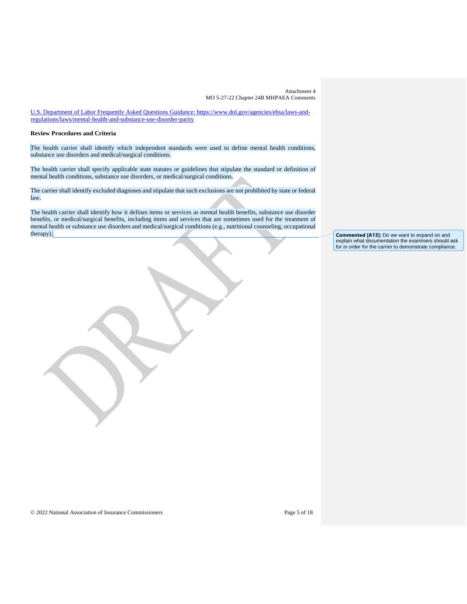U.S. Department of Labor Frequently Asked Questions Guidance: https://www.dol.gov/agencies/ebsa/laws-andregulations/laws/mental-health-and-substance-use-disorder-parity

## **Review Procedures and Criteria**

The health carrier shall identify which independent standards were used to define mental health conditions, substance use disorders and medical/surgical conditions.

The health carrier shall specify applicable state statutes or guidelines that stipulate the standard or definition of mental health conditions, substance use disorders, or medical/surgical conditions.

The carrier shall identify excluded diagnoses and stipulate that such exclusions are not prohibited by state or federal law.

The health carrier shall identify how it defines items or services as mental health benefits, substance use disorder benefits, or medical/surgical benefits, including items and services that are sometimes used for the treatment of mental health or substance use disorders and medical/surgical conditions (e.g., nutritional counseling, occupational

**Commented [A13]:** Do we want to expand on and explain what documentation the examiners should ask for in order for the carrier to demonstrate compliance.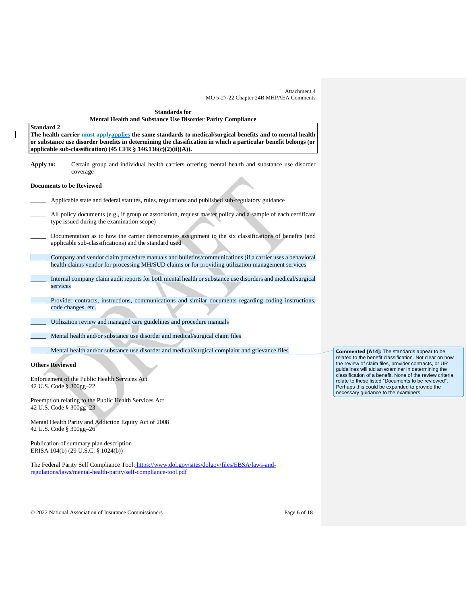| <b>Standards for</b><br><b>Mental Health and Substance Use Disorder Parity Compliance</b>                                                                                                                                                                                                                              |
|------------------------------------------------------------------------------------------------------------------------------------------------------------------------------------------------------------------------------------------------------------------------------------------------------------------------|
| <b>Standard 2</b><br>The health carrier must applyapplies the same standards to medical/surgical benefits and to mental health<br>or substance use disorder benefits in determining the classification in which a particular benefit belongs (or<br>applicable sub-classification) (45 CFR $\S$ 146.136(c)(2)(ii)(A)). |
| Certain group and individual health carriers offering mental health and substance use disorder<br>Apply to:<br>coverage                                                                                                                                                                                                |
| <b>Documents to be Reviewed</b>                                                                                                                                                                                                                                                                                        |
| Applicable state and federal statutes, rules, regulations and published sub-regulatory guidance                                                                                                                                                                                                                        |
| All policy documents (e.g., if group or association, request master policy and a sample of each certificate<br>type issued during the examination scope)                                                                                                                                                               |
| Documentation as to how the carrier demonstrates assignment to the six classifications of benefits (and<br>applicable sub-classifications) and the standard used                                                                                                                                                       |
| Company and vendor claim procedure manuals and bulletins/communications (if a carrier uses a behavioral<br>health claims vendor for processing MH/SUD claims or for providing utilization management services                                                                                                          |
| Internal company claim audit reports for both mental health or substance use disorders and medical/surgical<br>services                                                                                                                                                                                                |
| Provider contracts, instructions, communications and similar documents regarding coding instructions,<br>code changes, etc.                                                                                                                                                                                            |
| Utilization review and managed care guidelines and procedure manuals                                                                                                                                                                                                                                                   |
| Mental health and/or substance use disorder and medical/surgical claim files                                                                                                                                                                                                                                           |
| Mental health and/or substance use disorder and medical/surgical complaint and grievance files                                                                                                                                                                                                                         |
| <b>Others Reviewed</b>                                                                                                                                                                                                                                                                                                 |
| Enforcement of the Public Health Services Act<br>42 U.S. Code § 300gg-22                                                                                                                                                                                                                                               |
| Preemption relating to the Public Health Services Act                                                                                                                                                                                                                                                                  |

42 U.S. Code § 300gg–23

Mental Health Parity and Addiction Equity Act of 2008 42 U.S. Code § 300gg–26

Publication of summary plan description ERISA 104(b) (29 U.S.C. § 1024(b))

 $\overline{\phantom{a}}$ 

The Federal Parity Self Compliance Tool: [https://www.dol.gov/sites/dolgov/files/EBSA/laws-and](https://www.dol.gov/sites/dolgov/files/EBSA/laws-and-regulations/laws/mental-health-parity/self-compliance-tool.pdf)[regulations/laws/mental-health-parity/self-compliance-tool.pdf](https://www.dol.gov/sites/dolgov/files/EBSA/laws-and-regulations/laws/mental-health-parity/self-compliance-tool.pdf)

**Commented [A14]:** The standards appear to be related to the benefit classification. Not clear on how the review of claim files, provider contracts, or UR guidelines will aid an examiner in determining the classification of a benefit. None of the review criteria relate to these listed "Documents to be reviewed". Perhaps this could be expanded to provide the necessary guidance to the examiners.

© 2022 National Association of Insurance Commissioners Page 6 of 18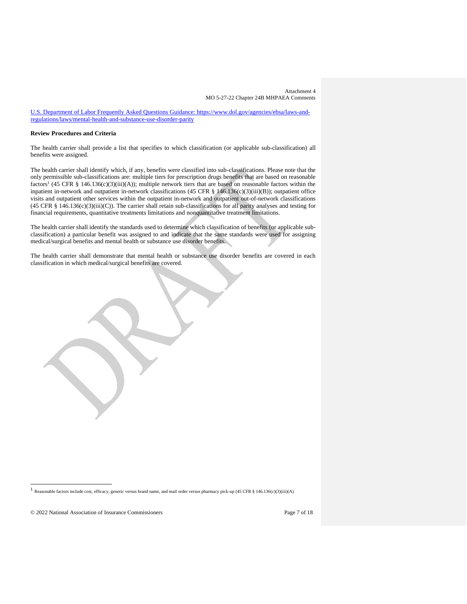U.S. Department of Labor Frequently Asked Questions Guidance: https://www.dol.gov/agencies/ebsa/laws-andregulations/laws/mental-health-and-substance-use-disorder-parity

# **Review Procedures and Criteria**

The health carrier shall provide a list that specifies to which classification (or applicable sub-classification) all benefits were assigned.

The health carrier shall identify which, if any, benefits were classified into sub-classifications. Please note that the only permissible sub-classifications are: multiple tiers for prescription drugs benefits that are based on reasonable factors<sup>1</sup> (45 CFR § 146.136(c)(3)(iii)(A)); multiple network tiers that are based on reasonable factors within the inpatient in-network and outpatient in-network classifications (45 CFR § 146.136(c)(3)(iii)(B)); outpatient office visits and outpatient other services within the outpatient in-network and outpatient out-of-network classifications  $(45 \text{ CFR } \text{\&} 146.136(c)(3)(iii)(C))$ . The carrier shall retain sub-classifications for all parity analyses and testing for financial requirements, quantitative treatments limitations and nonquantitative treatment limitations.

The health carrier shall identify the standards used to determine which classification of benefits (or applicable subclassification) a particular benefit was assigned to and indicate that the same standards were used for assigning medical/surgical benefits and mental health or substance use disorder benefits.

The health carrier shall demonstrate that mental health or substance use disorder benefits are covered in each classification in which medical/surgical benefits are covered.



© 2022 National Association of Insurance Commissioners Page 7 of 18

<sup>&</sup>lt;sup>1</sup> Reasonable factors include cost, efficacy, generic versus brand name, and mail order versus pharmacy pick-up (45 CFR § 146.136(c)(3)(iii)(A)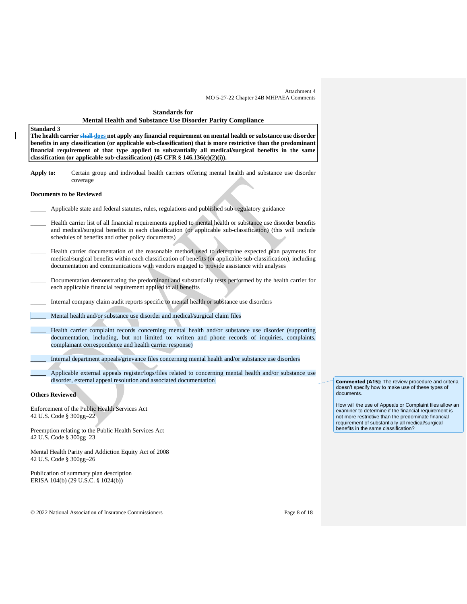# **Standards for Mental Health and Substance Use Disorder Parity Compliance**

## **Standard 3**

**The health carrier shall does not apply any financial requirement on mental health or substance use disorder benefits in any classification (or applicable sub-classification) that is more restrictive than the predominant financial requirement of that type applied to substantially all medical/surgical benefits in the same classification (or applicable sub-classification) (45 CFR § 146.136(c)(2)(i)).**

**Apply to:** Certain group and individual health carriers offering mental health and substance use disorder coverage

## **Documents to be Reviewed**

- Applicable state and federal statutes, rules, regulations and published sub-regulatory guidance
- Health carrier list of all financial requirements applied to mental health or substance use disorder benefits and medical/surgical benefits in each classification (or applicable sub-classification) (this will include schedules of benefits and other policy documents)
- Health carrier documentation of the reasonable method used to determine expected plan payments for medical/surgical benefits within each classification of benefits (or applicable sub-classification), including documentation and communications with vendors engaged to provide assistance with analyses
- \_\_\_\_\_ Documentation demonstrating the predominant and substantially tests performed by the health carrier for each applicable financial requirement applied to all benefits
- \_\_\_\_\_ Internal company claim audit reports specific to mental health or substance use disorders
- Mental health and/or substance use disorder and medical/surgical claim files
	- Health carrier complaint records concerning mental health and/or substance use disorder (supporting documentation, including, but not limited to: written and phone records of inquiries, complaints, complainant correspondence and health carrier response)
	- \_\_\_\_\_ Internal department appeals/grievance files concerning mental health and/or substance use disorders
		- Applicable external appeals register/logs/files related to concerning mental health and/or substance use disorder, external appeal resolution and associated documentation

## **Others Reviewed**

Enforcement of the Public Health Services Act 42 U.S. Code § 300gg–22

Preemption relating to the Public Health Services Act 42 U.S. Code § 300gg–23

Mental Health Parity and Addiction Equity Act of 2008 42 U.S. Code § 300gg–26

Publication of summary plan description ERISA 104(b) (29 U.S.C. § 1024(b))

**Commented [A15]:** The review procedure and criteria doesn't specify how to make use of these types of documents.

How will the use of Appeals or Complaint files allow an examiner to determine if the financial requirement is not more restrictive than the predominate financial requirement of substantially all medical/surgical benefits in the same classification?

© 2022 National Association of Insurance Commissioners Page 8 of 18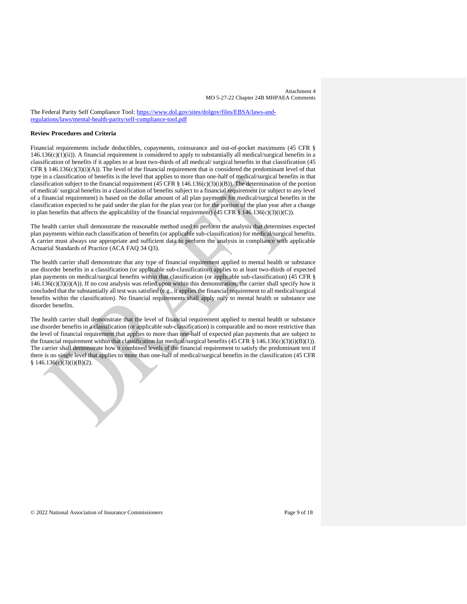The Federal Parity Self Compliance Tool: [https://www.dol.gov/sites/dolgov/files/EBSA/laws-and](https://www.dol.gov/sites/dolgov/files/EBSA/laws-and-regulations/laws/mental-health-parity/self-compliance-tool.pdf)[regulations/laws/mental-health-parity/self-compliance-tool.pdf](https://www.dol.gov/sites/dolgov/files/EBSA/laws-and-regulations/laws/mental-health-parity/self-compliance-tool.pdf)

# **Review Procedures and Criteria**

Financial requirements include deductibles, copayments, coinsurance and out-of-pocket maximums (45 CFR §  $146.136(c)(1)(ii)$ ). A financial requirement is considered to apply to substantially all medical/surgical benefits in a classification of benefits if it applies to at least two-thirds of all medical/ surgical benefits in that classification (45 CFR  $§$  146.136(c)(3)(i)(A)). The level of the financial requirement that is considered the predominant level of that type in a classification of benefits is the level that applies to more than one-half of medical/surgical benefits in that classification subject to the financial requirement (45 CFR § 146.136(c)(3)(i)(B)). The determination of the portion of medical/ surgical benefits in a classification of benefits subject to a financial requirement (or subject to any level of a financial requirement) is based on the dollar amount of all plan payments for medical/surgical benefits in the classification expected to be paid under the plan for the plan year (or for the portion of the plan year after a change in plan benefits that affects the applicability of the financial requirement) (45 CFR § 146.136(c)(3)(i)(C)).

The health carrier shall demonstrate the reasonable method used to perform the analysis that determines expected plan payments within each classification of benefits (or applicable sub-classification) for medical/surgical benefits. A carrier must always use appropriate and sufficient data to perform the analysis in compliance with applicable Actuarial Standards of Practice (ACA FAQ 34 Q3).

The health carrier shall demonstrate that any type of financial requirement applied to mental health or substance use disorder benefits in a classification (or applicable sub-classification) applies to at least two-thirds of expected plan payments on medical/surgical benefits within that classification (or applicable sub-classification) (45 CFR §  $146.136(c)(3)(i)(A)$ . If no cost analysis was relied upon within this demonstration, the carrier shall specify how it concluded that the substantially all test was satisfied (e.g., it applies the financial requirement to all medical/surgical benefits within the classification). No financial requirements shall apply only to mental health or substance use disorder benefits.

The health carrier shall demonstrate that the level of financial requirement applied to mental health or substance use disorder benefits in a classification (or applicable sub-classification) is comparable and no more restrictive than the level of financial requirement that applies to more than one-half of expected plan payments that are subject to the financial requirement within that classification for medical/surgical benefits (45 CFR § 146.136(c)(3)(i)(B)(1)). The carrier shall demonstrate how it combined levels of the financial requirement to satisfy the predominant test if there is no single level that applies to more than one-half of medical/surgical benefits in the classification (45 CFR  $§ 146.136(c)(3)(i)(B)(2).$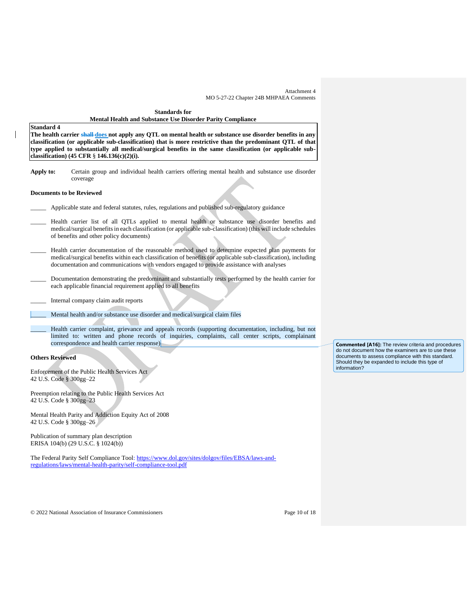# **Standards for Mental Health and Substance Use Disorder Parity Compliance**

# **Standard 4**

**The health carrier shall does not apply any QTL on mental health or substance use disorder benefits in any classification (or applicable sub-classification) that is more restrictive than the predominant QTL of that type applied to substantially all medical/surgical benefits in the same classification (or applicable subclassification) (45 CFR** § **146.136(c)(2)(i).** 

**Apply to:** Certain group and individual health carriers offering mental health and substance use disorder coverage

## **Documents to be Reviewed**

- \_\_\_\_\_ Applicable state and federal statutes, rules, regulations and published sub-regulatory guidance
- Health carrier list of all QTLs applied to mental health or substance use disorder benefits and medical/surgical benefits in each classification (or applicable sub-classification) (this will include schedules of benefits and other policy documents)
- Health carrier documentation of the reasonable method used to determine expected plan payments for medical/surgical benefits within each classification of benefits (or applicable sub-classification), including documentation and communications with vendors engaged to provide assistance with analyses
- \_\_\_\_\_ Documentation demonstrating the predominant and substantially tests performed by the health carrier for each applicable financial requirement applied to all benefits
	- \_\_\_\_\_ Internal company claim audit reports
- Mental health and/or substance use disorder and medical/surgical claim files
	- Health carrier complaint, grievance and appeals records (supporting documentation, including, but not limited to: written and phone records of inquiries, complaints, call center scripts, complainant correspondence and health carrier response)

# **Others Reviewed**

Enforcement of the Public Health Services Act 42 U.S. Code § 300gg–22

Preemption relating to the Public Health Services Act 42 U.S. Code § 300gg–23

Mental Health Parity and Addiction Equity Act of 2008 42 U.S. Code § 300gg–26

Publication of summary plan description ERISA 104(b) (29 U.S.C. § 1024(b))

The Federal Parity Self Compliance Tool: [https://www.dol.gov/sites/dolgov/files/EBSA/laws-and](https://www.dol.gov/sites/dolgov/files/EBSA/laws-and-regulations/laws/mental-health-parity/self-compliance-tool.pdf)[regulations/laws/mental-health-parity/self-compliance-tool.pdf](https://www.dol.gov/sites/dolgov/files/EBSA/laws-and-regulations/laws/mental-health-parity/self-compliance-tool.pdf)

**Commented [A16]:** The review criteria and procedures do not document how the examiners are to use these documents to assess compliance with this standard. Should they be expanded to include this type of information?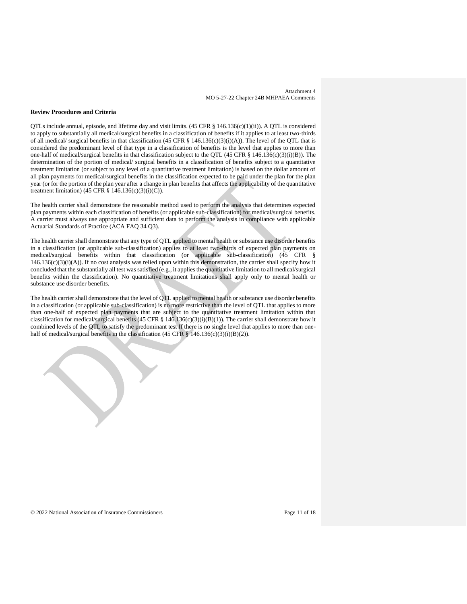#### **Review Procedures and Criteria**

QTLs include annual, episode, and lifetime day and visit limits.  $(45 \text{ CFR} \text{ s } 146.136(c)(1)(ii))$ . A QTL is considered to apply to substantially all medical/surgical benefits in a classification of benefits if it applies to at least two-thirds of all medical/ surgical benefits in that classification (45 CFR § 146.136(c)(3)(i)(A)). The level of the QTL that is considered the predominant level of that type in a classification of benefits is the level that applies to more than one-half of medical/surgical benefits in that classification subject to the QTL (45 CFR  $\S$  146.136(c)(3)(i)(B)). The determination of the portion of medical/ surgical benefits in a classification of benefits subject to a quantitative treatment limitation (or subject to any level of a quantitative treatment limitation) is based on the dollar amount of all plan payments for medical/surgical benefits in the classification expected to be paid under the plan for the plan year (or for the portion of the plan year after a change in plan benefits that affects the applicability of the quantitative treatment limitation) (45 CFR § 146.136(c)(3)(i)(C)).

The health carrier shall demonstrate the reasonable method used to perform the analysis that determines expected plan payments within each classification of benefits (or applicable sub-classification) for medical/surgical benefits. A carrier must always use appropriate and sufficient data to perform the analysis in compliance with applicable Actuarial Standards of Practice (ACA FAQ 34 Q3).

The health carrier shall demonstrate that any type of QTL applied to mental health or substance use disorder benefits in a classification (or applicable sub-classification) applies to at least two-thirds of expected plan payments on medical/surgical benefits within that classification (or applicable sub-classification) (45 CFR §  $146.136(c)(3)(i)(A)$ ). If no cost analysis was relied upon within this demonstration, the carrier shall specify how it concluded that the substantially all test was satisfied (e.g., it applies the quantitative limitation to all medical/surgical benefits within the classification). No quantitative treatment limitations shall apply only to mental health or substance use disorder benefits.

The health carrier shall demonstrate that the level of QTL applied to mental health or substance use disorder benefits in a classification (or applicable sub-classification) is no more restrictive than the level of QTL that applies to more than one-half of expected plan payments that are subject to the quantitative treatment limitation within that classification for medical/surgical benefits (45 CFR § 146.136(c)(3)(i)(B)(1)). The carrier shall demonstrate how it combined levels of the QTL to satisfy the predominant test If there is no single level that applies to more than onehalf of medical/surgical benefits in the classification (45 CFR  $\S$  146.136(c)(3)(i)(B)(2)).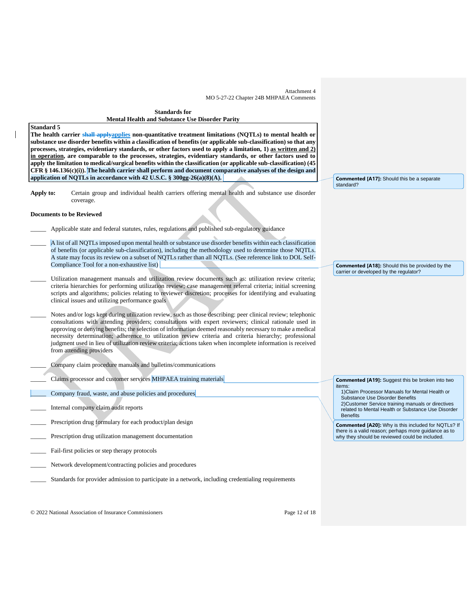**Standards for Mental Health and Substance Use Disorder Parity**

#### **Standard 5**

**The health carrier shall applyapplies non-quantitative treatment limitations (NQTLs) to mental health or substance use disorder benefits within a classification of benefits (or applicable sub-classification) so that any processes, strategies, evidentiary standards, or other factors used to apply a limitation, 1) as written and 2) in operation, are comparable to the processes, strategies, evidentiary standards, or other factors used to apply the limitation to medical/surgical benefits within the classification (or applicable sub-classification) (45 CFR § 146.136(c)(i)). The health carrier shall perform and document comparative analyses of the design and application of NQTLs in accordance with 42 U.S.C. § 300gg-26(a)(8)(A).** 

**Apply to:** Certain group and individual health carriers offering mental health and substance use disorder coverage.

#### **Documents to be Reviewed**

- Applicable state and federal statutes, rules, regulations and published sub-regulatory guidance
- \_\_\_\_\_ A list of all NQTLsimposed upon mental health or substance use disorder benefits within each classification of benefits (or applicable sub-classification), including the methodology used to determine those NQTLs. A state may focus its review on a subset of NQTLs rather than all NQTLs. (See reference link to DOL Self-Compliance Tool for a non-exhaustive list)
- Utilization management manuals and utilization review documents such as: utilization review criteria; criteria hierarchies for performing utilization review; case management referral criteria; initial screening scripts and algorithms; policies relating to reviewer discretion; processes for identifying and evaluating clinical issues and utilizing performance goals
- Notes and/or logs kept during utilization review, such as those describing: peer clinical review; telephonic consultations with attending providers; consultations with expert reviewers; clinical rationale used in approving or denying benefits; the selection of information deemed reasonably necessary to make a medical necessity determination; adherence to utilization review criteria and criteria hierarchy; professional judgment used in lieu of utilization review criteria; actions taken when incomplete information is received from attending providers
- \_\_\_\_\_ Company claim procedure manuals and bulletins/communications
- Claims processor and customer services MHPAEA training materials
- Company fraud, waste, and abuse policies and procedures
- \_\_\_\_\_ Internal company claim audit reports
- Prescription drug formulary for each product/plan design
- Prescription drug utilization management documentation
- Fail-first policies or step therapy protocols
- Network development/contracting policies and procedures
- Standards for provider admission to participate in a network, including credentialing requirements

**Commented [A17]:** Should this be a separate standard?

**Commented [A18]:** Should this be provided by the carrier or developed by the regulator?

Substance Use Disorder Benefits 2)Customer Service training manuals or directives related to Mental Health or Substance Use Disorder **Benefits Commented [A20]:** Why is this included for NQTLs? If there is a valid reason; perhaps more guidance as to

**Commented [A19]:** Suggest this be broken into two

1)Claim Processor Manuals for Mental Health or

why they should be reviewed could be included.

items:

© 2022 National Association of Insurance Commissioners Page 12 of 18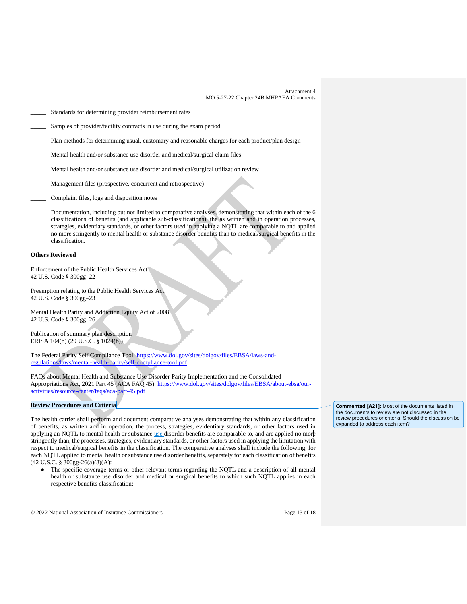- Standards for determining provider reimbursement rates
- Samples of provider/facility contracts in use during the exam period
- [Plan](https://www.law.cornell.edu/definitions/index.php?width=840&height=800&iframe=true&def_id=2b74e43866fc5b8f1f15155c434c7c1d&term_occur=70&term_src=Title:45:Chapter:A:Subchapter:B:Part:146:Subpart:C:146.136) methods for determining usual, customary and reasonable charges for each product/plan design
- Mental health and/or substance use disorder and medical/surgical claim files.
- Mental health and/or substance use disorder and medical/surgical utilization review
- \_\_\_\_\_ Management files (prospective, concurrent and retrospective)
- \_\_\_\_\_ Complaint files, logs and disposition notes
- Documentation, including but not limited to comparative analyses, demonstrating that within each of the 6 classifications of benefits (and applicable sub-classifications), the as written and in operation processes, strategies, evidentiary standards, or other factors used in applying a NQTL are comparable to and applied no more stringently to mental health or substance disorder benefits than to medical/surgical benefits in the classification.

## **Others Reviewed**

Enforcement of the Public Health Services Act 42 U.S. Code § 300gg–22

Preemption relating to the Public Health Services Act 42 U.S. Code § 300gg–23

Mental Health Parity and Addiction Equity Act of 2008 42 U.S. Code § 300gg–26

Publication of summary plan description ERISA 104(b) (29 U.S.C. § 1024(b))

The Federal Parity Self Compliance Tool: [https://www.dol.gov/sites/dolgov/files/EBSA/laws-and](https://www.dol.gov/sites/dolgov/files/EBSA/laws-and-regulations/laws/mental-health-parity/self-compliance-tool.pdf)[regulations/laws/mental-health-parity/self-compliance-tool.pdf](https://www.dol.gov/sites/dolgov/files/EBSA/laws-and-regulations/laws/mental-health-parity/self-compliance-tool.pdf)

FAQs about Mental Health and Substance Use Disorder Parity Implementation and the Consolidated Appropriations Act, 2021 Part 45 (ACA FAQ 45): [https://www.dol.gov/sites/dolgov/files/EBSA/about-ebsa/our](https://www.dol.gov/sites/dolgov/files/EBSA/about-ebsa/our-activities/resource-center/faqs/aca-part-45.pdf)[activities/resource-center/faqs/aca-part-45.pdf](https://www.dol.gov/sites/dolgov/files/EBSA/about-ebsa/our-activities/resource-center/faqs/aca-part-45.pdf)

## **Review Procedures and Criteria**

The health carrier shall perform and document comparative analyses demonstrating that within any classification of benefits, as written and in operation, the process, strategies, evidentiary standards, or other factors used in applying an NQTL to mental health or substance use disorder benefits are comparable to, and are applied no more stringently than, the processes, strategies, evidentiary standards, or other factors used in applying the limitation with respect to medical/surgical benefits in the classification. The comparative analyses shall include the following, for each NQTL applied to mental health or substance use disorder benefits, separately for each classification of benefits (42 U.S.C. § 300gg-26(a)(8)(A):

● The specific coverage terms or other relevant terms regarding the NQTL and a description of all mental health or substance use disorder and medical or surgical benefits to which such NQTL applies in each respective benefits classification;

**Commented [A21]:** Most of the documents listed in the documents to review are not discussed in the review procedures or criteria. Should the discussion be expanded to address each item?

© 2022 National Association of Insurance Commissioners Page 13 of 18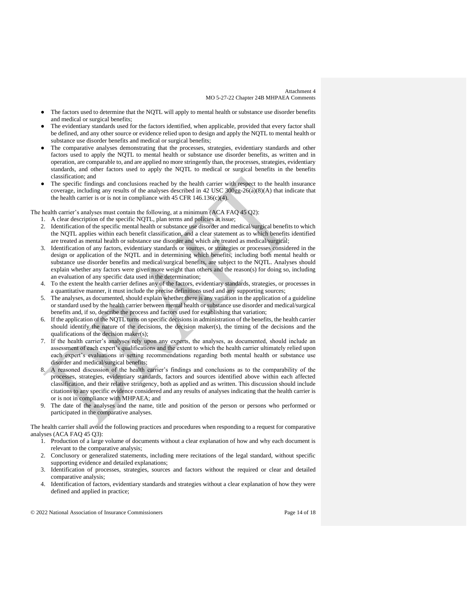- The factors used to determine that the NQTL will apply to mental health or substance use disorder benefits and medical or surgical benefits;
- The evidentiary standards used for the factors identified, when applicable, provided that every factor shall be defined, and any other source or evidence relied upon to design and apply the NQTL to mental health or substance use disorder benefits and medical or surgical benefits;
- The comparative analyses demonstrating that the processes, strategies, evidentiary standards and other factors used to apply the NQTL to mental health or substance use disorder benefits, as written and in operation, are comparable to, and are applied no more stringently than, the processes, strategies, evidentiary standards, and other factors used to apply the NQTL to medical or surgical benefits in the benefits classification; and
- The specific findings and conclusions reached by the health carrier with respect to the health insurance coverage, including any results of the analyses described in 42 USC  $300gg-26(a)(8)(A)$  that indicate that the health carrier is or is not in compliance with 45 CFR 146.136(c)(4).

The health carrier's analyses must contain the following, at a minimum (ACA FAQ 45 Q2):

- 1. A clear description of the specific NQTL, plan terms and policies at issue;
- 2. Identification of the specific mental health or substance use disorder and medical/surgical benefits to which the NQTL applies within each benefit classification, and a clear statement as to which benefits identified are treated as mental health or substance use disorder and which are treated as medical/surgical;
- 3. Identification of any factors, evidentiary standards or sources, or strategies or processes considered in the design or application of the NQTL and in determining which benefits, including both mental health or substance use disorder benefits and medical/surgical benefits, are subject to the NQTL. Analyses should explain whether any factors were given more weight than others and the reason(s) for doing so, including an evaluation of any specific data used in the determination;
- 4. To the extent the health carrier defines any of the factors, evidentiary standards, strategies, or processes in a quantitative manner, it must include the precise definitions used and any supporting sources;
- 5. The analyses, as documented, should explain whether there is any variation in the application of a guideline or standard used by the health carrier between mental health or substance use disorder and medical/surgical benefits and, if so, describe the process and factors used for establishing that variation;
- 6. If the application of the NQTL turns on specific decisions in administration of the benefits, the health carrier should identify the nature of the decisions, the decision maker(s), the timing of the decisions and the qualifications of the decision maker(s);
- 7. If the health carrier's analyses rely upon any experts, the analyses, as documented, should include an assessment of each expert's qualifications and the extent to which the health carrier ultimately relied upon each expert's evaluations in setting recommendations regarding both mental health or substance use disorder and medical/surgical benefits;
- 8. A reasoned discussion of the health carrier's findings and conclusions as to the comparability of the processes, strategies, evidentiary standards, factors and sources identified above within each affected classification, and their relative stringency, both as applied and as written. This discussion should include citations to any specific evidence considered and any results of analyses indicating that the health carrier is or is not in compliance with MHPAEA; and
- 9. The date of the analyses and the name, title and position of the person or persons who performed or participated in the comparative analyses.

The health carrier shall avoid the following practices and procedures when responding to a request for comparative analyses (ACA FAQ 45 Q3):

- 1. Production of a large volume of documents without a clear explanation of how and why each document is relevant to the comparative analysis;
- 2. Conclusory or generalized statements, including mere recitations of the legal standard, without specific supporting evidence and detailed explanations;
- 3. Identification of processes, strategies, sources and factors without the required or clear and detailed comparative analysis;
- 4. Identification of factors, evidentiary standards and strategies without a clear explanation of how they were defined and applied in practice;

© 2022 National Association of Insurance Commissioners Page 14 of 18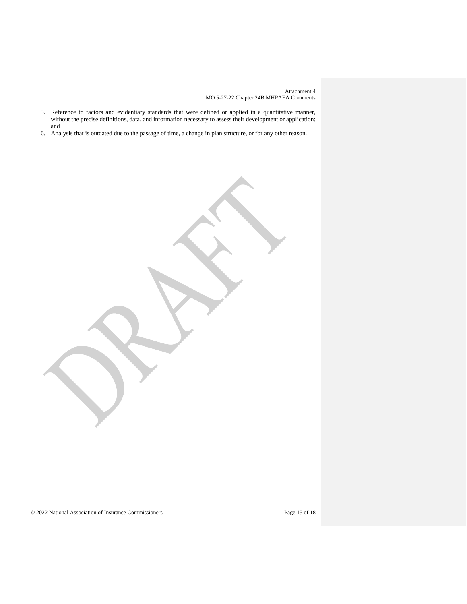- 5. Reference to factors and evidentiary standards that were defined or applied in a quantitative manner, without the precise definitions, data, and information necessary to assess their development or application; and
- 6. Analysis that is outdated due to the passage of time, a change in plan structure, or for any other reason.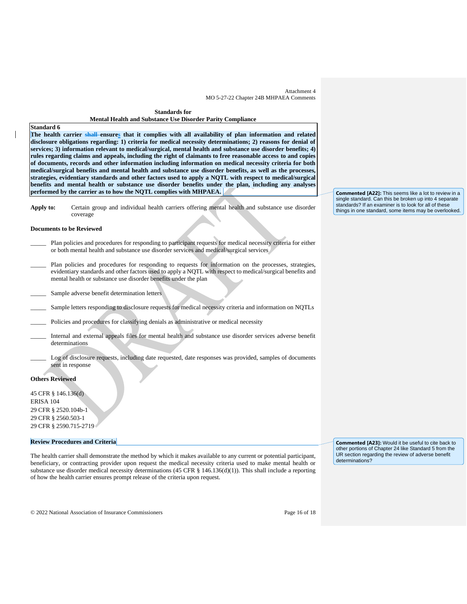**Standards for Mental Health and Substance Use Disorder Parity Compliance**

## **Standard 6**

**The health carrier shall ensures that it complies with all availability of plan information and related disclosure obligations regarding: 1) criteria for medical necessity determinations; 2) reasons for denial of services; 3) information relevant to medical/surgical, mental health and substance use disorder benefits; 4) rules regarding claims and appeals, including the right of claimants to free reasonable access to and copies of documents, records and other information including information on medical necessity criteria for both medical/surgical benefits and mental health and substance use disorder benefits, as well as the processes, strategies, evidentiary standards and other factors used to apply a NQTL with respect to medical/surgical benefits and mental health or substance use disorder benefits under the plan, including any analyses performed by the carrier as to how the NQTL complies with MHPAEA.** 

**Apply to:** Certain group and individual health carriers offering mental health and substance use disorder coverage

#### **Documents to be Reviewed**

- Plan policies and procedures for responding to participant requests for medical necessity criteria for either or both mental health and substance use disorder services and medical/surgical services
- Plan policies and procedures for responding to requests for information on the processes, strategies, evidentiary standards and other factors used to apply a NQTL with respect to medical/surgical benefits and mental health or substance use disorder benefits under the plan
- Sample adverse benefit determination letters
- Sample letters responding to disclosure requests for medical necessity criteria and information on NQTLs
- Policies and procedures for classifying denials as administrative or medical necessity
- \_\_\_\_\_ Internal and external appeals files for mental health and substance use disorder services adverse benefit determinations
- Log of disclosure requests, including date requested, date responses was provided, samples of documents sent in response

## **Others Reviewed**

45 CFR § 146.136(d) ERISA 104 29 CFR § 2520.104b-1 29 CFR § 2560.503-1 29 CFR § 2590.715-2719

#### **Review Procedures and Criteria**

The health carrier shall demonstrate the method by which it makes available to any current or potential participant, beneficiary, or contracting provider upon request the medical necessity criteria used to make mental health or substance use disorder medical necessity determinations (45 CFR  $\S$  146.136(d)(1)). This shall include a reporting of how the health carrier ensures prompt release of the criteria upon request.

**Commented [A23]:** Would it be useful to cite back to other portions of Chapter 24 like Standard 5 from the UR section regarding the review of adverse benefit determinations?

**Commented [A22]:** This seems like a lot to review in a single standard. Can this be broken up into 4 separate standards? If an examiner is to look for all of these things in one standard, some items may be overlooked.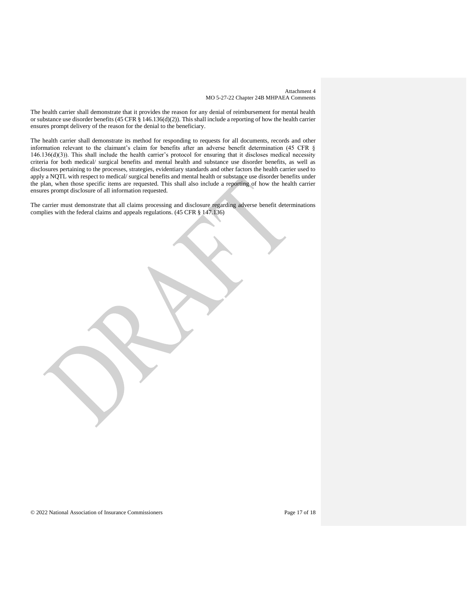The health carrier shall demonstrate that it provides the reason for any denial of reimbursement for mental health or substance use disorder benefits (45 CFR  $\S$  146.136(d)(2)). This shall include a reporting of how the health carrier ensures prompt delivery of the reason for the denial to the beneficiary.

The health carrier shall demonstrate its method for responding to requests for all documents, records and other information relevant to the claimant's claim for benefits after an adverse benefit determination (45 CFR § 146.136(d)(3)). This shall include the health carrier's protocol for ensuring that it discloses medical necessity criteria for both medical/ surgical benefits and mental health and substance use disorder benefits, as well as disclosures pertaining to the processes, strategies, evidentiary standards and other factors the health carrier used to apply a NQTL with respect to medical/ surgical benefits and mental health or substance use disorder benefits under the plan, when those specific items are requested. This shall also include a reporting of how the health carrier ensures prompt disclosure of all information requested.

The carrier must demonstrate that all claims processing and disclosure regarding adverse benefit determinations complies with the federal claims and appeals regulations. (45 CFR § 147.136)